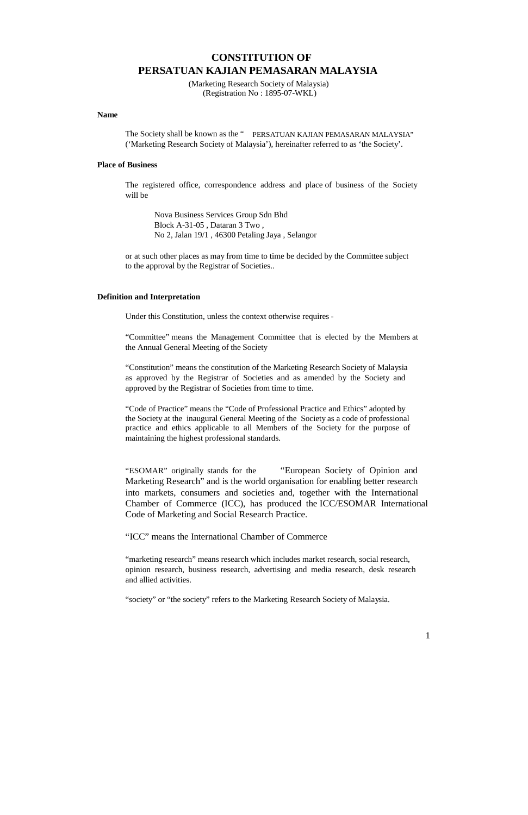# **CONSTITUTION OF PERSATUAN KAJIAN PEMASARAN MALAYSIA**

(Marketing Research Society of Malaysia) (Registration No : 1895-07-WKL)

#### **Name**

The Society shall be known as the " PERSATUAN KAJIAN PEMASARAN MALAYSIA" ('Marketing Research Society of Malaysia'), hereinafter referred to as 'the Society'.

## **Place of Business**

The registered office, correspondence address and place of business of the Society will be

Nova Business Services Group Sdn Bhd Block A-31-05 , Dataran 3 Two , No 2, Jalan 19/1 , 46300 Petaling Jaya , Selangor

or at such other places as may from time to time be decided by the Committee subject to the approval by the Registrar of Societies..

## **Definition and Interpretation**

Under this Constitution, unless the context otherwise requires -

"Committee" means the Management Committee that is elected by the Members at the Annual General Meeting of the Society

"Constitution" means the constitution of the Marketing Research Society of Malaysia as approved by the Registrar of Societies and as amended by the Society and approved by the Registrar of Societies from time to time.

"Code of Practice" means the "Code of Professional Practice and Ethics" adopted by the Society at the inaugural General Meeting of the Society as a code of professional practice and ethics applicable to all Members of the Society for the purpose of maintaining the highest professional standards.

"ESOMAR" originally stands for the "European Society of Opinion and Marketing Research" and is the world organisation for enabling better research into markets, consumers and societies and, together with the International Chamber of Commerce (ICC), has produced the ICC/ESOMAR International Code of Marketing and Social Research Practice.

"ICC" means the International Chamber of Commerce

"marketing research" means research which includes market research, social research, opinion research, business research, advertising and media research, desk research and allied activities.

1

'society" or "the society" refers to the Marketing Research Society of Malaysia.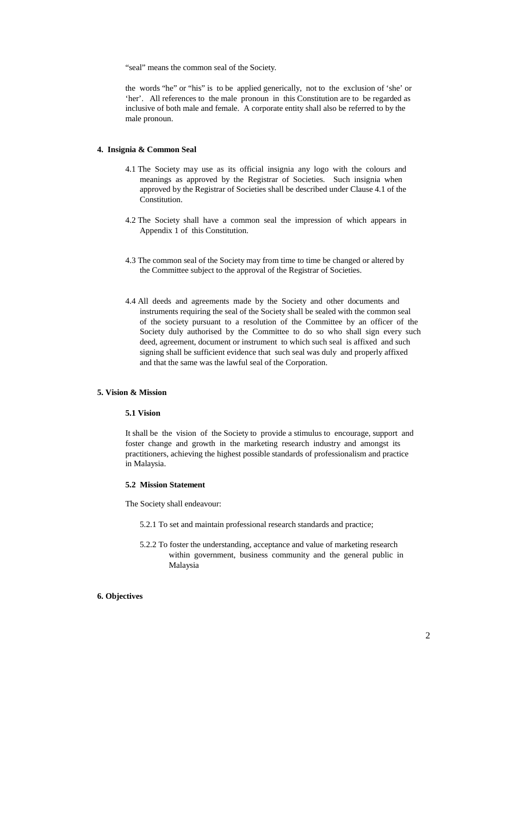"seal" means the common seal of the Society.

the words "he" or "his" is to be applied generically, not to the exclusion of 'she' or 'her'. All references to the male pronoun in this Constitution are to be regarded as inclusive of both male and female. A corporate entity shall also be referred to by the male pronoun.

## **4. Insignia & Common Seal**

- 4.1 The Society may use as its official insignia any logo with the colours and meanings as approved by the Registrar of Societies. Such insignia when approved by the Registrar of Societies shall be described under Clause 4.1 of the Constitution.
- 4.2 The Society shall have a common seal the impression of which appears in Appendix 1 of this Constitution.
- 4.3 The common seal of the Society may from time to time be changed or altered by the Committee subject to the approval of the Registrar of Societies.
- 4.4 All deeds and agreements made by the Society and other documents and instruments requiring the seal of the Society shall be sealed with the common seal of the society pursuant to a resolution of the Committee by an officer of the Society duly authorised by the Committee to do so who shall sign every such deed, agreement, document or instrument to which such seal is affixed and such signing shall be sufficient evidence that such seal was duly and properly affixed and that the same was the lawful seal of the Corporation.

## **5. Vision & Mission**

## **5.1 Vision**

It shall be the vision of the Society to provide a stimulus to encourage, support and foster change and growth in the marketing research industry and amongst its practitioners, achieving the highest possible standards of professionalism and practice in Malaysia.

# **5.2 Mission Statement**

The Society shall endeavour:

- 5.2.1 To set and maintain professional research standards and practice;
- 5.2.2 To foster the understanding, acceptance and value of marketing research within government, business community and the general public in Malaysia

#### **6. Objectives**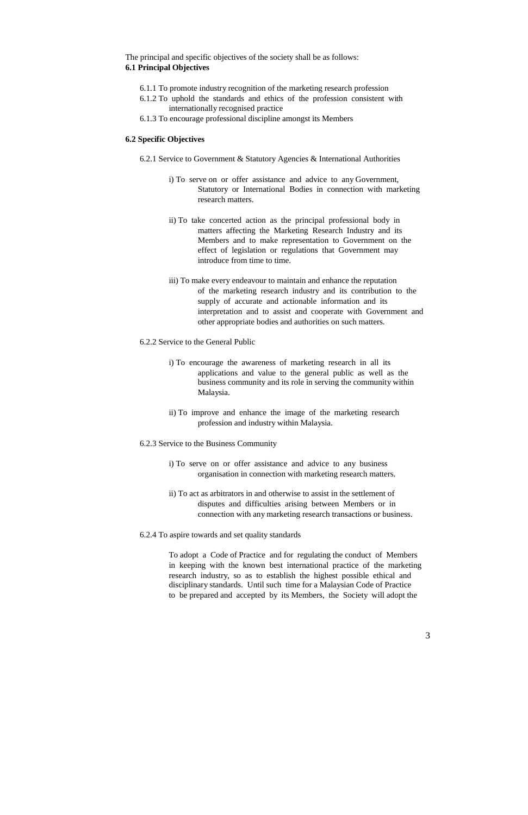The principal and specific objectives of the society shall be as follows: **6.1 Principal Objectives**

- 6.1.1 To promote industry recognition of the marketing research profession
- 6.1.2 To uphold the standards and ethics of the profession consistent with internationally recognised practice
- 6.1.3 To encourage professional discipline amongst its Members

## **6.2 Specific Objectives**

- 6.2.1 Service to Government & Statutory Agencies & International Authorities
	- i) To serve on or offer assistance and advice to any Government, Statutory or International Bodies in connection with marketing research matters.
	- ii) To take concerted action as the principal professional body in matters affecting the Marketing Research Industry and its Members and to make representation to Government on the effect of legislation or regulations that Government may introduce from time to time.
	- iii) To make every endeavour to maintain and enhance the reputation of the marketing research industry and its contribution to the supply of accurate and actionable information and its interpretation and to assist and cooperate with Government and other appropriate bodies and authorities on such matters.
- 6.2.2 Service to the General Public
	- i) To encourage the awareness of marketing research in all its applications and value to the general public as well as the business community and its role in serving the community within Malaysia.
	- ii) To improve and enhance the image of the marketing research profession and industry within Malaysia.
- 6.2.3 Service to the Business Community
	- i) To serve on or offer assistance and advice to any business organisation in connection with marketing research matters.
	- ii) To act as arbitrators in and otherwise to assist in the settlement of disputes and difficulties arising between Members or in connection with any marketing research transactions or business.
- 6.2.4 To aspire towards and set quality standards

To adopt a Code of Practice and for regulating the conduct of Members in keeping with the known best international practice of the marketing research industry, so as to establish the highest possible ethical and disciplinary standards. Until such time for a Malaysian Code of Practice to be prepared and accepted by its Members, the Society will adopt the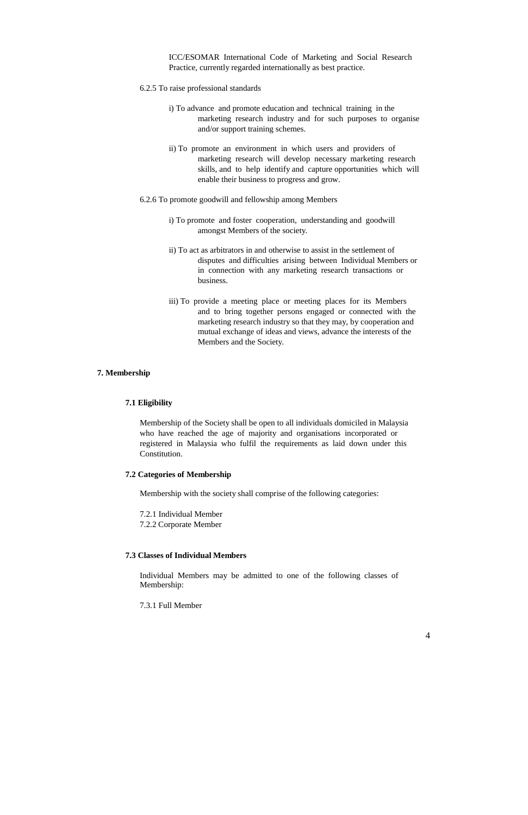ICC/ESOMAR International Code of Marketing and Social Research Practice, currently regarded internationally as best practice.

- 6.2.5 To raise professional standards
	- i) To advance and promote education and technical training in the marketing research industry and for such purposes to organise and/or support training schemes.
	- ii) To promote an environment in which users and providers of marketing research will develop necessary marketing research skills, and to help identify and capture opportunities which will enable their business to progress and grow.

6.2.6 To promote goodwill and fellowship among Members

- i) To promote and foster cooperation, understanding and goodwill amongst Members of the society.
- ii) To act as arbitrators in and otherwise to assist in the settlement of disputes and difficulties arising between Individual Members or in connection with any marketing research transactions or business.
- iii) To provide a meeting place or meeting places for its Members and to bring together persons engaged or connected with the marketing research industry so that they may, by cooperation and mutual exchange of ideas and views, advance the interests of the Members and the Society.

## **7. Membership**

## **7.1 Eligibility**

Membership of the Society shall be open to all individuals domiciled in Malaysia who have reached the age of majority and organisations incorporated or registered in Malaysia who fulfil the requirements as laid down under this Constitution.

## **7.2 Categories of Membership**

Membership with the society shall comprise of the following categories:

7.2.1 Individual Member

7.2.2 Corporate Member

# **7.3 Classes of Individual Members**

Individual Members may be admitted to one of the following classes of Membership:

7.3.1 Full Member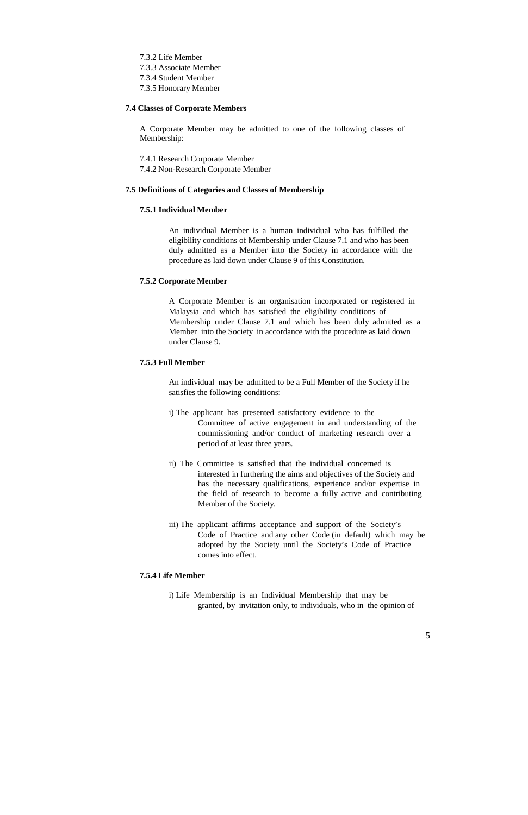7.3.2 Life Member 7.3.3 Associate Member 7.3.4 Student Member 7.3.5 Honorary Member

#### **7.4 Classes of Corporate Members**

A Corporate Member may be admitted to one of the following classes of Membership:

7.4.1 Research Corporate Member 7.4.2 Non-Research Corporate Member

## **7.5 Definitions of Categories and Classes of Membership**

## **7.5.1 Individual Member**

An individual Member is a human individual who has fulfilled the eligibility conditions of Membership under Clause 7.1 and who has been duly admitted as a Member into the Society in accordance with the procedure as laid down under Clause 9 of this Constitution.

## **7.5.2 Corporate Member**

A Corporate Member is an organisation incorporated or registered in Malaysia and which has satisfied the eligibility conditions of Membership under Clause 7.1 and which has been duly admitted as a Member into the Society in accordance with the procedure as laid down under Clause 9.

## **7.5.3 Full Member**

An individual may be admitted to be a Full Member of the Society if he satisfies the following conditions:

- i) The applicant has presented satisfactory evidence to the Committee of active engagement in and understanding of the commissioning and/or conduct of marketing research over a period of at least three years.
- ii) The Committee is satisfied that the individual concerned is interested in furthering the aims and objectives of the Society and has the necessary qualifications, experience and/or expertise in the field of research to become a fully active and contributing Member of the Society.
- iii) The applicant affirms acceptance and support of the Society's Code of Practice and any other Code (in default) which may be adopted by the Society until the Society's Code of Practice comes into effect.

#### **7.5.4 Life Member**

i) Life Membership is an Individual Membership that may be

granted, by invitation only, to individuals, who in the opinion of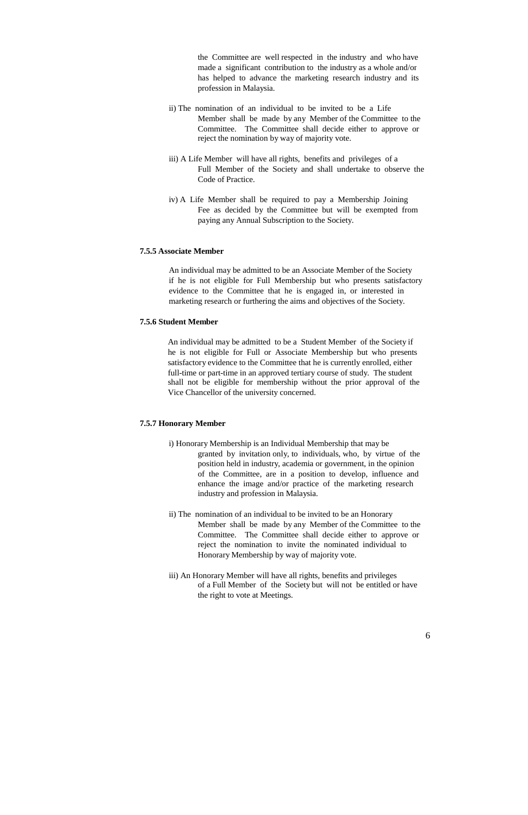the Committee are well respected in the industry and who have made a significant contribution to the industry as a whole and/or has helped to advance the marketing research industry and its profession in Malaysia.

- ii) The nomination of an individual to be invited to be a Life Member shall be made by any Member of the Committee to the Committee. The Committee shall decide either to approve or reject the nomination by way of majority vote.
- iii) A Life Member will have all rights, benefits and privileges of a Full Member of the Society and shall undertake to observe the Code of Practice.
- iv) A Life Member shall be required to pay a Membership Joining Fee as decided by the Committee but will be exempted from paying any Annual Subscription to the Society.

## **7.5.5 Associate Member**

An individual may be admitted to be an Associate Member of the Society if he is not eligible for Full Membership but who presents satisfactory evidence to the Committee that he is engaged in, or interested in marketing research or furthering the aims and objectives of the Society.

#### **7.5.6 Student Member**

An individual may be admitted to be a Student Member of the Society if he is not eligible for Full or Associate Membership but who presents satisfactory evidence to the Committee that he is currently enrolled, either full-time or part-time in an approved tertiary course of study. The student shall not be eligible for membership without the prior approval of the Vice Chancellor of the university concerned.

## **7.5.7 Honorary Member**

- i) Honorary Membership is an Individual Membership that may be granted by invitation only, to individuals, who, by virtue of the position held in industry, academia or government, in the opinion of the Committee, are in a position to develop, influence and enhance the image and/or practice of the marketing research industry and profession in Malaysia.
- ii) The nomination of an individual to be invited to be an Honorary Member shall be made by any Member of the Committee to the Committee. The Committee shall decide either to approve or reject the nomination to invite the nominated individual to Honorary Membership by way of majority vote.
- iii) An Honorary Member will have all rights, benefits and privileges of a Full Member of the Society but will not be entitled or have the right to vote at Meetings.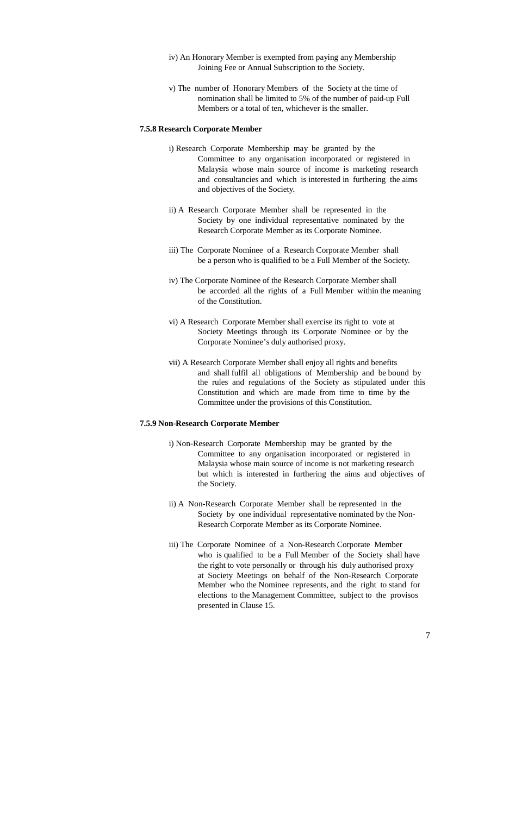- iv) An Honorary Member is exempted from paying any Membership Joining Fee or Annual Subscription to the Society.
- v) The number of Honorary Members of the Society at the time of nomination shall be limited to 5% of the number of paid-up Full Members or a total of ten, whichever is the smaller.

#### **7.5.8 Research Corporate Member**

- i) Research Corporate Membership may be granted by the Committee to any organisation incorporated or registered in Malaysia whose main source of income is marketing research and consultancies and which is interested in furthering the aims and objectives of the Society.
- ii) A Research Corporate Member shall be represented in the Society by one individual representative nominated by the Research Corporate Member as its Corporate Nominee.
- iii) The Corporate Nominee of a Research Corporate Member shall be a person who is qualified to be a Full Member of the Society.
- iv) The Corporate Nominee of the Research Corporate Member shall be accorded all the rights of a Full Member within the meaning of the Constitution.
- vi) A Research Corporate Member shall exercise its right to vote at Society Meetings through its Corporate Nominee or by the Corporate Nominee's duly authorised proxy.
- vii) A Research Corporate Member shall enjoy all rights and benefits and shall fulfil all obligations of Membership and be bound by the rules and regulations of the Society as stipulated under this Constitution and which are made from time to time by the Committee under the provisions of this Constitution.

#### **7.5.9 Non-Research Corporate Member**

- i) Non-Research Corporate Membership may be granted by the Committee to any organisation incorporated or registered in Malaysia whose main source of income is not marketing research but which is interested in furthering the aims and objectives of the Society.
- ii) A Non-Research Corporate Member shall be represented in the Society by one individual representative nominated by the Non-Research Corporate Member as its Corporate Nominee.
- iii) The Corporate Nominee of a Non-Research Corporate Member who is qualified to be a Full Member of the Society shall have the right to vote personally or through his duly authorised proxy at Society Meetings on behalf of the Non-Research Corporate Member who the Nominee represents, and the right to stand for elections to the Management Committee, subject to the provisos

presented in Clause 15.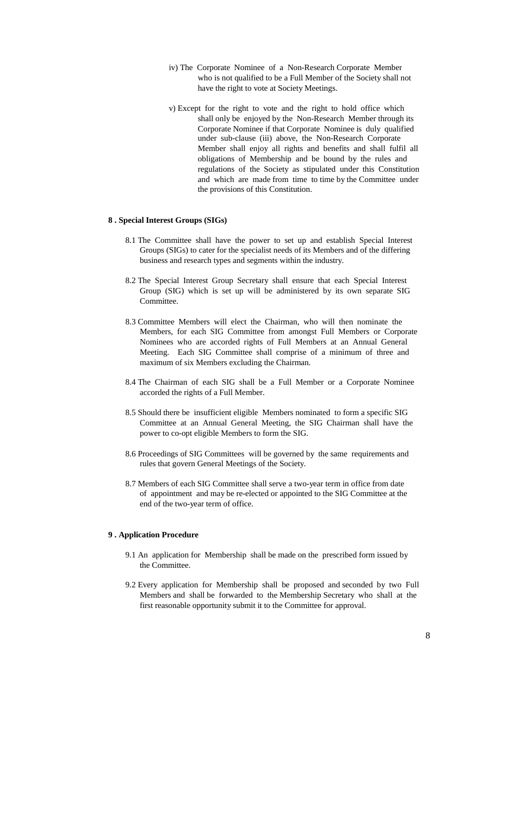- iv) The Corporate Nominee of a Non-Research Corporate Member who is not qualified to be a Full Member of the Society shall not have the right to vote at Society Meetings.
- v) Except for the right to vote and the right to hold office which shall only be enjoyed by the Non-Research Member through its Corporate Nominee if that Corporate Nominee is duly qualified under sub-clause (iii) above, the Non-Research Corporate Member shall enjoy all rights and benefits and shall fulfil all obligations of Membership and be bound by the rules and regulations of the Society as stipulated under this Constitution and which are made from time to time by the Committee under the provisions of this Constitution.

#### **8 . Special Interest Groups (SIGs)**

- 8.1 The Committee shall have the power to set up and establish Special Interest Groups (SIGs) to cater for the specialist needs of its Members and of the differing business and research types and segments within the industry.
- 8.2 The Special Interest Group Secretary shall ensure that each Special Interest Group (SIG) which is set up will be administered by its own separate SIG Committee.
- 8.3 Committee Members will elect the Chairman, who will then nominate the Members, for each SIG Committee from amongst Full Members or Corporate Nominees who are accorded rights of Full Members at an Annual General Meeting. Each SIG Committee shall comprise of a minimum of three and maximum of six Members excluding the Chairman.
- 8.4 The Chairman of each SIG shall be a Full Member or a Corporate Nominee accorded the rights of a Full Member.
- 8.5 Should there be insufficient eligible Members nominated to form a specific SIG Committee at an Annual General Meeting, the SIG Chairman shall have the power to co-opt eligible Members to form the SIG.
- 8.6 Proceedings of SIG Committees will be governed by the same requirements and rules that govern General Meetings of the Society.
- 8.7 Members of each SIG Committee shall serve a two-year term in office from date of appointment and may be re-elected or appointed to the SIG Committee at the end of the two-year term of office.

## **9 . Application Procedure**

- 9.1 An application for Membership shall be made on the prescribed form issued by the Committee.
- 9.2 Every application for Membership shall be proposed and seconded by two Full Members and shall be forwarded to the Membership Secretary who shall at the

first reasonable opportunity submit it to the Committee for approval.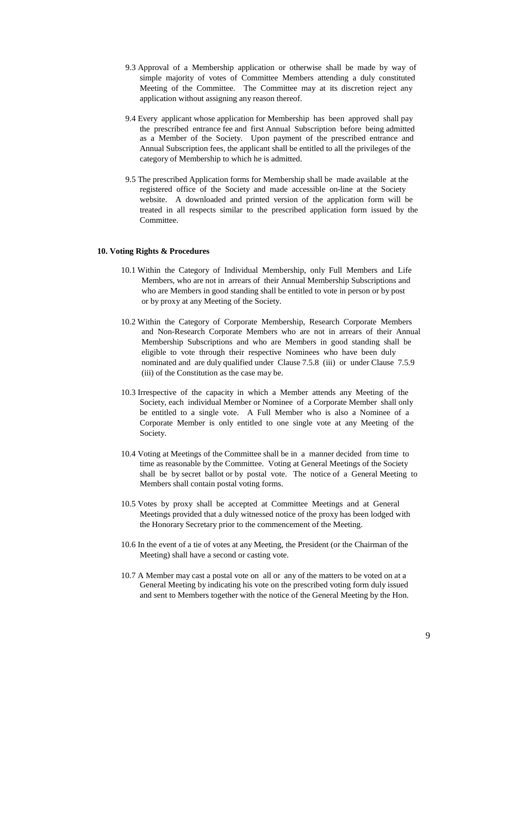- 9.3 Approval of a Membership application or otherwise shall be made by way of simple majority of votes of Committee Members attending a duly constituted Meeting of the Committee. The Committee may at its discretion reject any application without assigning any reason thereof.
- 9.4 Every applicant whose application for Membership has been approved shall pay the prescribed entrance fee and first Annual Subscription before being admitted as a Member of the Society. Upon payment of the prescribed entrance and Annual Subscription fees, the applicant shall be entitled to all the privileges of the category of Membership to which he is admitted.
- 9.5 The prescribed Application forms for Membership shall be made available at the registered office of the Society and made accessible on-line at the Society website. A downloaded and printed version of the application form will be treated in all respects similar to the prescribed application form issued by the Committee.

## **10. Voting Rights & Procedures**

- 10.1 Within the Category of Individual Membership, only Full Members and Life Members, who are not in arrears of their Annual Membership Subscriptions and who are Members in good standing shall be entitled to vote in person or by post or by proxy at any Meeting of the Society.
- 10.2 Within the Category of Corporate Membership, Research Corporate Members and Non-Research Corporate Members who are not in arrears of their Annual Membership Subscriptions and who are Members in good standing shall be eligible to vote through their respective Nominees who have been duly nominated and are duly qualified under Clause 7.5.8 (iii) or under Clause 7.5.9 (iii) of the Constitution as the case may be.
- 10.3 Irrespective of the capacity in which a Member attends any Meeting of the Society, each individual Member or Nominee of a Corporate Member shall only be entitled to a single vote. A Full Member who is also a Nominee of a Corporate Member is only entitled to one single vote at any Meeting of the Society.
- 10.4 Voting at Meetings of the Committee shall be in a manner decided from time to time as reasonable by the Committee. Voting at General Meetings of the Society shall be by secret ballot or by postal vote. The notice of a General Meeting to Members shall contain postal voting forms.
- 10.5 Votes by proxy shall be accepted at Committee Meetings and at General Meetings provided that a duly witnessed notice of the proxy has been lodged with the Honorary Secretary prior to the commencement of the Meeting.
- 10.6 In the event of a tie of votes at any Meeting, the President (or the Chairman of the Meeting) shall have a second or casting vote.
- 10.7 A Member may cast a postal vote on all or any of the matters to be voted on at a General Meeting by indicating his vote on the prescribed voting form duly issued and sent to Members together with the notice of the General Meeting by the Hon.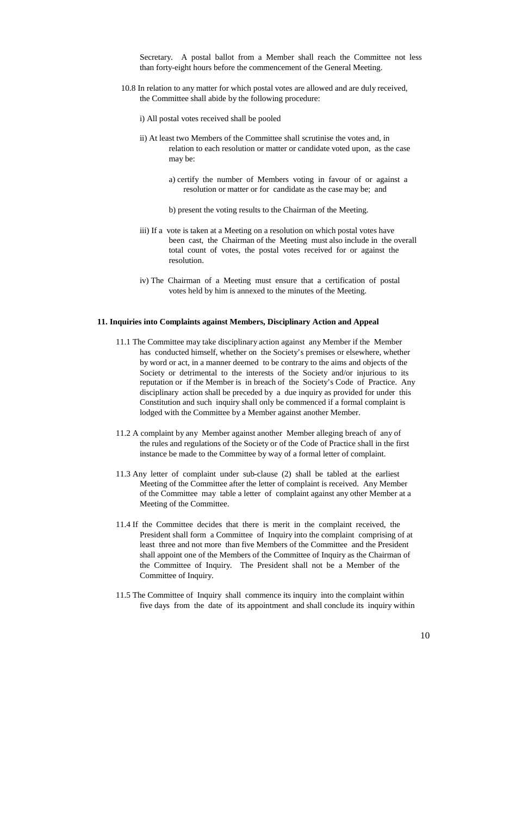Secretary. A postal ballot from a Member shall reach the Committee not less than forty-eight hours before the commencement of the General Meeting.

- 10.8 In relation to any matter for which postal votes are allowed and are duly received, the Committee shall abide by the following procedure:
	- i) All postal votes received shall be pooled
	- ii) At least two Members of the Committee shall scrutinise the votes and, in relation to each resolution or matter or candidate voted upon, as the case may be:
		- a) certify the number of Members voting in favour of or against a resolution or matter or for candidate as the case may be; and
		- b) present the voting results to the Chairman of the Meeting.
	- iii) If a vote is taken at a Meeting on a resolution on which postal votes have been cast, the Chairman of the Meeting must also include in the overall total count of votes, the postal votes received for or against the resolution.
	- iv) The Chairman of a Meeting must ensure that a certification of postal votes held by him is annexed to the minutes of the Meeting.

## **11. Inquiries into Complaints against Members, Disciplinary Action and Appeal**

- 11.1 The Committee may take disciplinary action against any Member if the Member has conducted himself, whether on the Society's premises or elsewhere, whether by word or act, in a manner deemed to be contrary to the aims and objects of the Society or detrimental to the interests of the Society and/or injurious to its reputation or if the Member is in breach of the Society's Code of Practice. Any disciplinary action shall be preceded by a due inquiry as provided for under this Constitution and such inquiry shall only be commenced if a formal complaint is lodged with the Committee by a Member against another Member.
- 11.2 A complaint by any Member against another Member alleging breach of any of the rules and regulations of the Society or of the Code of Practice shall in the first instance be made to the Committee by way of a formal letter of complaint.
- 11.3 Any letter of complaint under sub-clause (2) shall be tabled at the earliest Meeting of the Committee after the letter of complaint is received. Any Member of the Committee may table a letter of complaint against any other Member at a Meeting of the Committee.
- 11.4 If the Committee decides that there is merit in the complaint received, the President shall form a Committee of Inquiry into the complaint comprising of at least three and not more than five Members of the Committee and the President shall appoint one of the Members of the Committee of Inquiry as the Chairman of the Committee of Inquiry. The President shall not be a Member of the Committee of Inquiry.
- 11.5 The Committee of Inquiry shall commence its inquiry into the complaint within

five days from the date of its appointment and shall conclude its inquiry within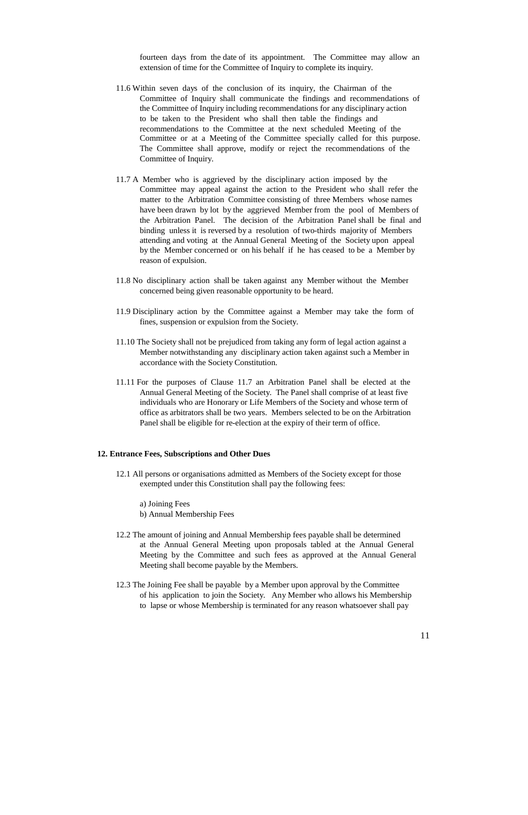fourteen days from the date of its appointment. The Committee may allow an extension of time for the Committee of Inquiry to complete its inquiry.

- 11.6 Within seven days of the conclusion of its inquiry, the Chairman of the Committee of Inquiry shall communicate the findings and recommendations of the Committee of Inquiry including recommendations for any disciplinary action to be taken to the President who shall then table the findings and recommendations to the Committee at the next scheduled Meeting of the Committee or at a Meeting of the Committee specially called for this purpose. The Committee shall approve, modify or reject the recommendations of the Committee of Inquiry.
- 11.7 A Member who is aggrieved by the disciplinary action imposed by the Committee may appeal against the action to the President who shall refer the matter to the Arbitration Committee consisting of three Members whose names have been drawn by lot by the aggrieved Member from the pool of Members of the Arbitration Panel. The decision of the Arbitration Panel shall be final and binding unless it is reversed by a resolution of two-thirds majority of Members attending and voting at the Annual General Meeting of the Society upon appeal by the Member concerned or on his behalf if he has ceased to be a Member by reason of expulsion.
- 11.8 No disciplinary action shall be taken against any Member without the Member concerned being given reasonable opportunity to be heard.
- 11.9 Disciplinary action by the Committee against a Member may take the form of fines, suspension or expulsion from the Society.
- 11.10 The Society shall not be prejudiced from taking any form of legal action against a Member notwithstanding any disciplinary action taken against such a Member in accordance with the Society Constitution.
- 11.11 For the purposes of Clause 11.7 an Arbitration Panel shall be elected at the Annual General Meeting of the Society. The Panel shall comprise of at least five individuals who are Honorary or Life Members of the Society and whose term of office as arbitrators shall be two years. Members selected to be on the Arbitration Panel shall be eligible for re-election at the expiry of their term of office.

## **12. Entrance Fees, Subscriptions and Other Dues**

- 12.1 All persons or organisations admitted as Members of the Society except for those exempted under this Constitution shall pay the following fees:
	- a) Joining Fees
	- b) Annual Membership Fees
- 12.2 The amount of joining and Annual Membership fees payable shall be determined at the Annual General Meeting upon proposals tabled at the Annual General Meeting by the Committee and such fees as approved at the Annual General Meeting shall become payable by the Members.
- 12.3 The Joining Fee shall be payable by a Member upon approval by the Committee of his application to join the Society. Any Member who allows his Membership

to lapse or whose Membership is terminated for any reason whatsoever shall pay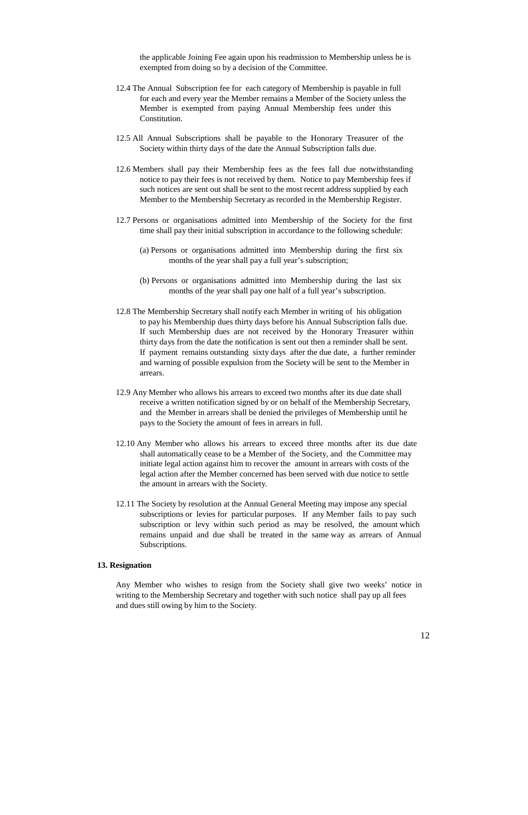the applicable Joining Fee again upon his readmission to Membership unless he is exempted from doing so by a decision of the Committee.

- 12.4 The Annual Subscription fee for each category of Membership is payable in full for each and every year the Member remains a Member of the Society unless the Member is exempted from paying Annual Membership fees under this Constitution.
- 12.5 All Annual Subscriptions shall be payable to the Honorary Treasurer of the Society within thirty days of the date the Annual Subscription falls due.
- 12.6 Members shall pay their Membership fees as the fees fall due notwithstanding notice to pay their fees is not received by them. Notice to pay Membership fees if such notices are sent out shall be sent to the most recent address supplied by each Member to the Membership Secretary as recorded in the Membership Register.
- 12.7 Persons or organisations admitted into Membership of the Society for the first time shall pay their initial subscription in accordance to the following schedule:
	- (a) Persons or organisations admitted into Membership during the first six months of the year shall pay a full year's subscription;
	- (b) Persons or organisations admitted into Membership during the last six months of the year shall pay one half of a full year's subscription.
- 12.8 The Membership Secretary shall notify each Member in writing of his obligation to pay his Membership dues thirty days before his Annual Subscription falls due. If such Membership dues are not received by the Honorary Treasurer within thirty days from the date the notification is sent out then a reminder shall be sent. If payment remains outstanding sixty days after the due date, a further reminder and warning of possible expulsion from the Society will be sent to the Member in arrears.
- 12.9 Any Member who allows his arrears to exceed two months after its due date shall receive a written notification signed by or on behalf of the Membership Secretary, and the Member in arrears shall be denied the privileges of Membership until he pays to the Society the amount of fees in arrears in full.
- 12.10 Any Member who allows his arrears to exceed three months after its due date shall automatically cease to be a Member of the Society, and the Committee may initiate legal action against him to recover the amount in arrears with costs of the legal action after the Member concerned has been served with due notice to settle the amount in arrears with the Society.
- 12.11 The Society by resolution at the Annual General Meeting may impose any special subscriptions or levies for particular purposes. If any Member fails to pay such subscription or levy within such period as may be resolved, the amount which remains unpaid and due shall be treated in the same way as arrears of Annual Subscriptions.

#### **13. Resignation**

Any Member who wishes to resign from the Society shall give two weeks' notice in writing to the Membership Secretary and together with such notice shall pay up all fees

and dues still owing by him to the Society.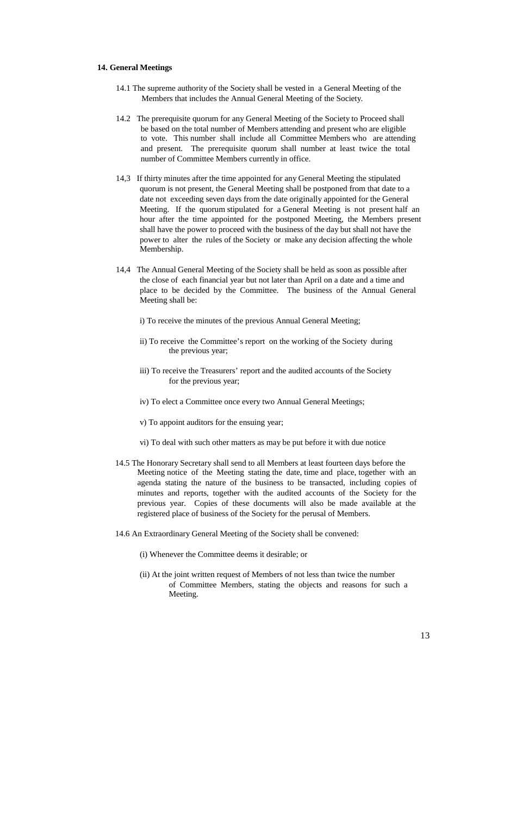## **14. General Meetings**

- 14.1 The supreme authority of the Society shall be vested in a General Meeting of the Members that includes the Annual General Meeting of the Society.
- 14.2 The prerequisite quorum for any General Meeting of the Society to Proceed shall be based on the total number of Members attending and present who are eligible to vote. This number shall include all Committee Members who are attending and present. The prerequisite quorum shall number at least twice the total number of Committee Members currently in office.
- 14,3 If thirty minutes after the time appointed for any General Meeting the stipulated quorum is not present, the General Meeting shall be postponed from that date to a date not exceeding seven days from the date originally appointed for the General Meeting. If the quorum stipulated for a General Meeting is not present half an hour after the time appointed for the postponed Meeting, the Members present shall have the power to proceed with the business of the day but shall not have the power to alter the rules of the Society or make any decision affecting the whole Membership.
- 14,4 The Annual General Meeting of the Society shall be held as soon as possible after the close of each financial year but not later than April on a date and a time and place to be decided by the Committee. The business of the Annual General Meeting shall be:
	- i) To receive the minutes of the previous Annual General Meeting;
	- ii) To receive the Committee's report on the working of the Society during the previous year;
	- iii) To receive the Treasurers' report and the audited accounts of the Society for the previous year;
	- iv) To elect a Committee once every two Annual General Meetings;
	- v) To appoint auditors for the ensuing year;
	- vi) To deal with such other matters as may be put before it with due notice
- 14.5 The Honorary Secretary shall send to all Members at least fourteen days before the Meeting notice of the Meeting stating the date, time and place, together with an agenda stating the nature of the business to be transacted, including copies of minutes and reports, together with the audited accounts of the Society for the previous year. Copies of these documents will also be made available at the registered place of business of the Society for the perusal of Members.
- 14.6 An Extraordinary General Meeting of the Society shall be convened:
	- (i) Whenever the Committee deems it desirable; or
	- (ii) At the joint written request of Members of not less than twice the number of Committee Members, stating the objects and reasons for such a Meeting.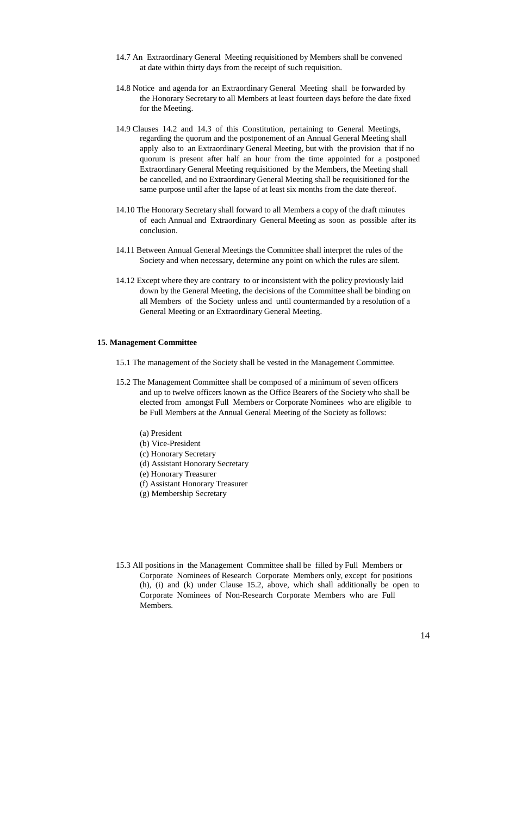- 14.7 An Extraordinary General Meeting requisitioned by Members shall be convened at date within thirty days from the receipt of such requisition.
- 14.8 Notice and agenda for an Extraordinary General Meeting shall be forwarded by the Honorary Secretary to all Members at least fourteen days before the date fixed for the Meeting.
- 14.9 Clauses 14.2 and 14.3 of this Constitution, pertaining to General Meetings, regarding the quorum and the postponement of an Annual General Meeting shall apply also to an Extraordinary General Meeting, but with the provision that if no quorum is present after half an hour from the time appointed for a postponed Extraordinary General Meeting requisitioned by the Members, the Meeting shall be cancelled, and no Extraordinary General Meeting shall be requisitioned for the same purpose until after the lapse of at least six months from the date thereof.
- 14.10 The Honorary Secretary shall forward to all Members a copy of the draft minutes of each Annual and Extraordinary General Meeting as soon as possible after its conclusion.
- 14.11 Between Annual General Meetings the Committee shall interpret the rules of the Society and when necessary, determine any point on which the rules are silent.
- 14.12 Except where they are contrary to or inconsistent with the policy previously laid down by the General Meeting, the decisions of the Committee shall be binding on all Members of the Society unless and until countermanded by a resolution of a General Meeting or an Extraordinary General Meeting.

## **15. Management Committee**

- 15.1 The management of the Society shall be vested in the Management Committee.
- 15.2 The Management Committee shall be composed of a minimum of seven officers and up to twelve officers known as the Office Bearers of the Society who shall be elected from amongst Full Members or Corporate Nominees who are eligible to be Full Members at the Annual General Meeting of the Society as follows:
	- (a) President
	- (b) Vice-President
	- (c) Honorary Secretary
	- (d) Assistant Honorary Secretary
	- (e) Honorary Treasurer
	- (f) Assistant Honorary Treasurer
	- (g) Membership Secretary
- 15.3 All positions in the Management Committee shall be filled by Full Members or Corporate Nominees of Research Corporate Members only, except for positions (h), (i) and (k) under Clause 15.2, above, which shall additionally be open to Corporate Nominees of Non-Research Corporate Members who are Full

Members.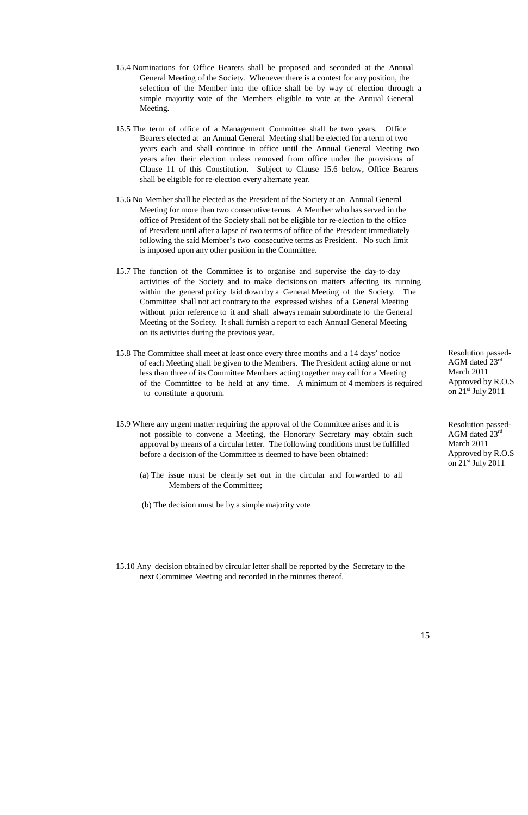- 15.4 Nominations for Office Bearers shall be proposed and seconded at the Annual General Meeting of the Society. Whenever there is a contest for any position, the selection of the Member into the office shall be by way of election through a simple majority vote of the Members eligible to vote at the Annual General Meeting.
- 15.5 The term of office of a Management Committee shall be two years. Office Bearers elected at an Annual General Meeting shall be elected for a term of two years each and shall continue in office until the Annual General Meeting two years after their election unless removed from office under the provisions of Clause 11 of this Constitution. Subject to Clause 15.6 below, Office Bearers shall be eligible for re-election every alternate year.
- 15.6 No Member shall be elected as the President of the Society at an Annual General Meeting for more than two consecutive terms. A Member who has served in the office of President of the Society shall not be eligible for re-election to the office of President until after a lapse of two terms of office of the President immediately following the said Member's two consecutive terms as President. No such limit is imposed upon any other position in the Committee.
- 15.7 The function of the Committee is to organise and supervise the day-to-day activities of the Society and to make decisions on matters affecting its running within the general policy laid down by a General Meeting of the Society. The Committee shall not act contrary to the expressed wishes of a General Meeting without prior reference to it and shall always remain subordinate to the General Meeting of the Society. It shall furnish a report to each Annual General Meeting on its activities during the previous year.
- 15.8 The Committee shall meet at least once every three months and a 14 days' notice of each Meeting shall be given to the Members. The President acting alone or not less than three of its Committee Members acting together may call for a Meeting of the Committee to be held at any time. A minimum of 4 members is required to constitute a quorum.
- 15.9 Where any urgent matter requiring the approval of the Committee arises and it is not possible to convene a Meeting, the Honorary Secretary may obtain such approval by means of a circular letter. The following conditions must be fulfilled before a decision of the Committee is deemed to have been obtained:
	- (a) The issue must be clearly set out in the circular and forwarded to all Members of the Committee;
	- (b) The decision must be by a simple majority vote

Resolution passed-AGM dated 23rd March 2011 Approved by R.O.S on 21<sup>st</sup> July 2011

Resolution passed-AGM dated 23rd March 2011 Approved by R.O.S on 21<sup>st</sup> July 2011

15.10 Any decision obtained by circular letter shall be reported by the Secretary to the next Committee Meeting and recorded in the minutes thereof.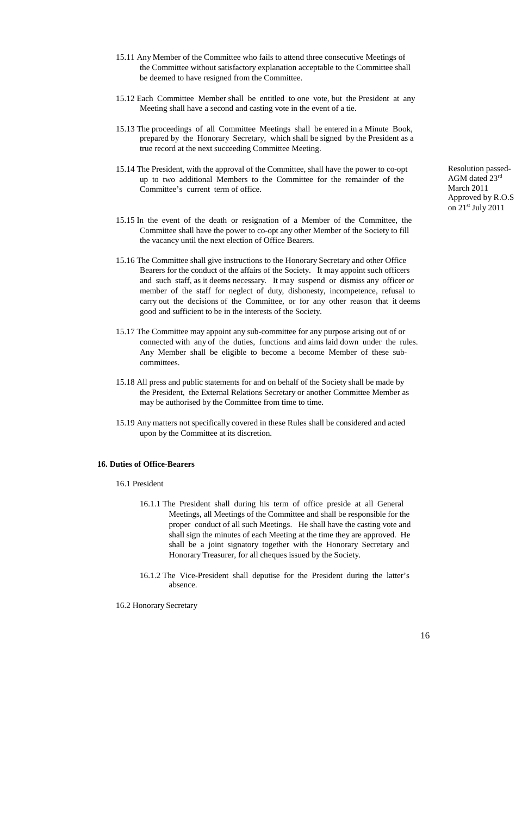- 15.11 Any Member of the Committee who fails to attend three consecutive Meetings of the Committee without satisfactory explanation acceptable to the Committee shall be deemed to have resigned from the Committee.
- 15.12 Each Committee Member shall be entitled to one vote, but the President at any Meeting shall have a second and casting vote in the event of a tie.
- 15.13 The proceedings of all Committee Meetings shall be entered in a Minute Book, prepared by the Honorary Secretary, which shall be signed by the President as a true record at the next succeeding Committee Meeting.
- 15.14 The President, with the approval of the Committee, shall have the power to co-opt up to two additional Members to the Committee for the remainder of the Committee's current term of office.
- 15.15 In the event of the death or resignation of a Member of the Committee, the Committee shall have the power to co-opt any other Member of the Society to fill the vacancy until the next election of Office Bearers.
- 15.16 The Committee shall give instructions to the Honorary Secretary and other Office Bearers for the conduct of the affairs of the Society. It may appoint such officers and such staff, as it deems necessary. It may suspend or dismiss any officer or member of the staff for neglect of duty, dishonesty, incompetence, refusal to carry out the decisions of the Committee, or for any other reason that it deems good and sufficient to be in the interests of the Society.
- 15.17 The Committee may appoint any sub-committee for any purpose arising out of or connected with any of the duties, functions and aims laid down under the rules. Any Member shall be eligible to become a become Member of these subcommittees.
- 15.18 All press and public statements for and on behalf of the Society shall be made by the President, the External Relations Secretary or another Committee Member as may be authorised by the Committee from time to time.
- 15.19 Any matters not specifically covered in these Rules shall be considered and acted upon by the Committee at its discretion.

Resolution passed-AGM dated 23rd March 2011 Approved by R.O.S on 21<sup>st</sup> July 2011

## **16. Duties of Office-Bearers**

- 16.1 President
	- 16.1.1 The President shall during his term of office preside at all General Meetings, all Meetings of the Committee and shall be responsible for the proper conduct of all such Meetings. He shall have the casting vote and shall sign the minutes of each Meeting at the time they are approved. He shall be a joint signatory together with the Honorary Secretary and Honorary Treasurer, for all cheques issued by the Society.
	- 16.1.2 The Vice-President shall deputise for the President during the latter's absence.

16.2 Honorary Secretary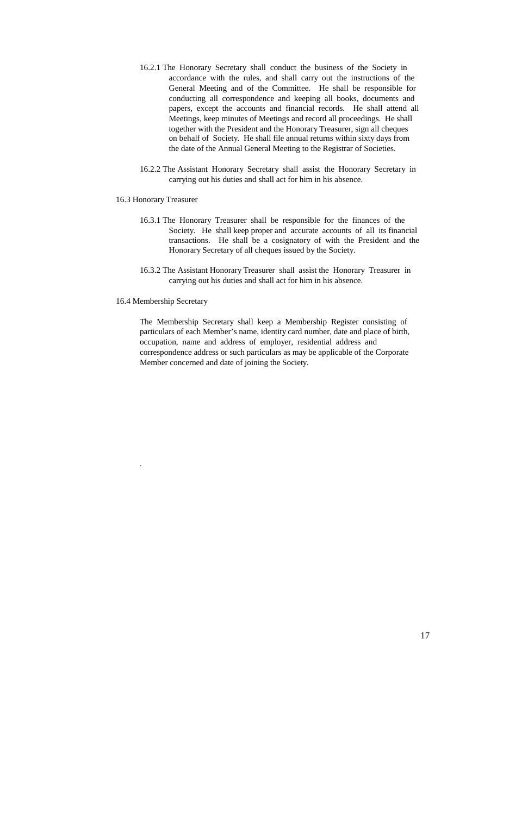- 16.2.1 The Honorary Secretary shall conduct the business of the Society in accordance with the rules, and shall carry out the instructions of the General Meeting and of the Committee. He shall be responsible for conducting all correspondence and keeping all books, documents and papers, except the accounts and financial records. He shall attend all Meetings, keep minutes of Meetings and record all proceedings. He shall together with the President and the Honorary Treasurer, sign all cheques on behalf of Society. He shall file annual returns within sixty days from the date of the Annual General Meeting to the Registrar of Societies.
- 16.2.2 The Assistant Honorary Secretary shall assist the Honorary Secretary in carrying out his duties and shall act for him in his absence.

#### 16.3 Honorary Treasurer

- 16.3.1 The Honorary Treasurer shall be responsible for the finances of the Society. He shall keep proper and accurate accounts of all its financial transactions. He shall be a cosignatory of with the President and the Honorary Secretary of all cheques issued by the Society.
- 16.3.2 The Assistant Honorary Treasurer shall assist the Honorary Treasurer in carrying out his duties and shall act for him in his absence.
- 16.4 Membership Secretary

The Membership Secretary shall keep a Membership Register consisting of particulars of each Member's name, identity card number, date and place of birth, occupation, name and address of employer, residential address and correspondence address or such particulars as may be applicable of the Corporate Member concerned and date of joining the Society.

.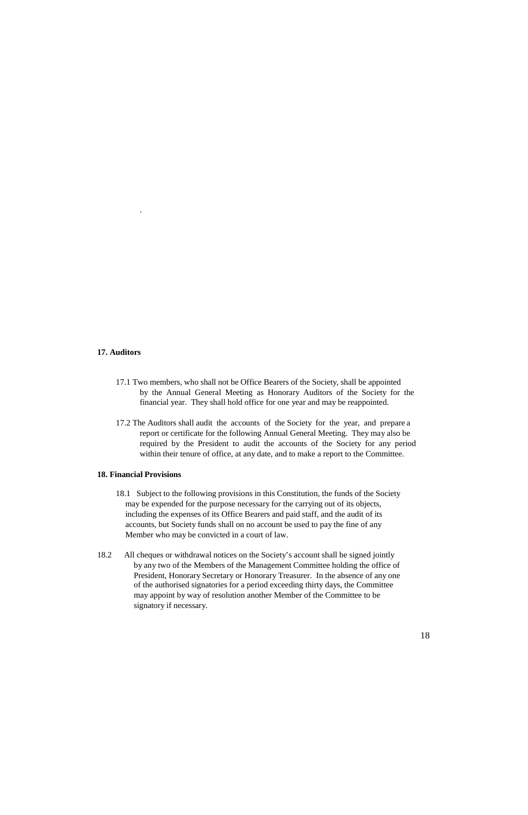.

#### **17. Auditors**

- 17.1 Two members, who shall not be Office Bearers of the Society, shall be appointed by the Annual General Meeting as Honorary Auditors of the Society for the financial year. They shall hold office for one year and may be reappointed.
- 17.2 The Auditors shall audit the accounts of the Society for the year, and prepare a report or certificate for the following Annual General Meeting. They may also be required by the President to audit the accounts of the Society for any period within their tenure of office, at any date, and to make a report to the Committee.

## **18. Financial Provisions**

- 18.1 Subject to the following provisions in this Constitution, the funds of the Society may be expended for the purpose necessary for the carrying out of its objects, including the expenses of its Office Bearers and paid staff, and the audit of its accounts, but Society funds shall on no account be used to pay the fine of any Member who may be convicted in a court of law.
- 18.2 All cheques or withdrawal notices on the Society's account shall be signed jointly by any two of the Members of the Management Committee holding the office of President, Honorary Secretary or Honorary Treasurer. In the absence of any one of the authorised signatories for a period exceeding thirty days, the Committee may appoint by way of resolution another Member of the Committee to be

signatory if necessary.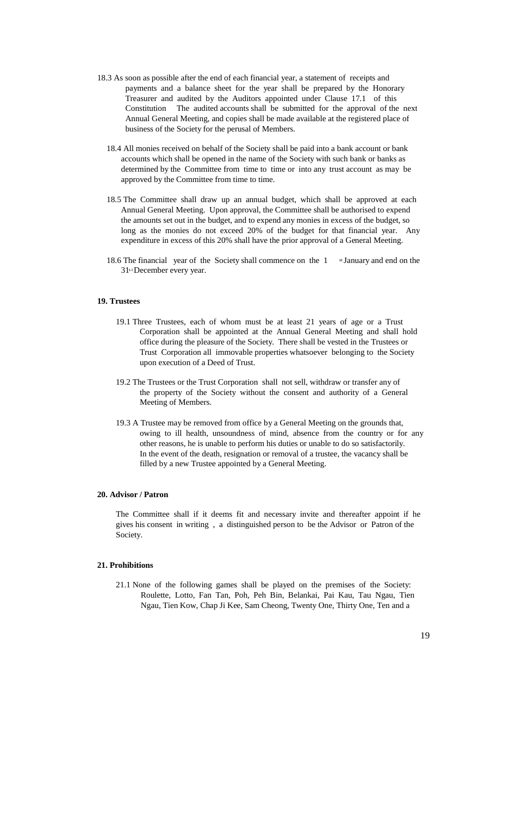- 18.3 As soon as possible after the end of each financial year, a statement of receipts and payments and a balance sheet for the year shall be prepared by the Honorary Treasurer and audited by the Auditors appointed under Clause 17.1 of this Constitution The audited accounts shall be submitted for the approval of the next Annual General Meeting, and copies shall be made available at the registered place of business of the Society for the perusal of Members.
	- 18.4 All monies received on behalf of the Society shall be paid into a bank account or bank accounts which shall be opened in the name of the Society with such bank or banks as determined by the Committee from time to time or into any trust account as may be approved by the Committee from time to time.
	- 18.5 The Committee shall draw up an annual budget, which shall be approved at each Annual General Meeting. Upon approval, the Committee shall be authorised to expend the amounts set out in the budget, and to expend any monies in excess of the budget, so long as the monies do not exceed 20% of the budget for that financial year. Any expenditure in excess of this 20% shall have the prior approval of a General Meeting.
	- 18.6 The financial year of the Society shall commence on the 1 st January and end on the 31<sup>st</sup> December every year.

#### **19. Trustees**

- 19.1 Three Trustees, each of whom must be at least 21 years of age or a Trust Corporation shall be appointed at the Annual General Meeting and shall hold office during the pleasure of the Society. There shall be vested in the Trustees or Trust Corporation all immovable properties whatsoever belonging to the Society upon execution of a Deed of Trust.
- 19.2 The Trustees or the Trust Corporation shall not sell, withdraw or transfer any of the property of the Society without the consent and authority of a General Meeting of Members.
- 19.3 A Trustee may be removed from office by a General Meeting on the grounds that, owing to ill health, unsoundness of mind, absence from the country or for any other reasons, he is unable to perform his duties or unable to do so satisfactorily. In the event of the death, resignation or removal of a trustee, the vacancy shall be filled by a new Trustee appointed by a General Meeting.

#### **20. Advisor / Patron**

The Committee shall if it deems fit and necessary invite and thereafter appoint if he gives his consent in writing , a distinguished person to be the Advisor or Patron of the Society.

#### **21. Prohibitions**

21.1 None of the following games shall be played on the premises of the Society: Roulette, Lotto, Fan Tan, Poh, Peh Bin, Belankai, Pai Kau, Tau Ngau, Tien

Ngau, Tien Kow, Chap Ji Kee, Sam Cheong, Twenty One, Thirty One, Ten and a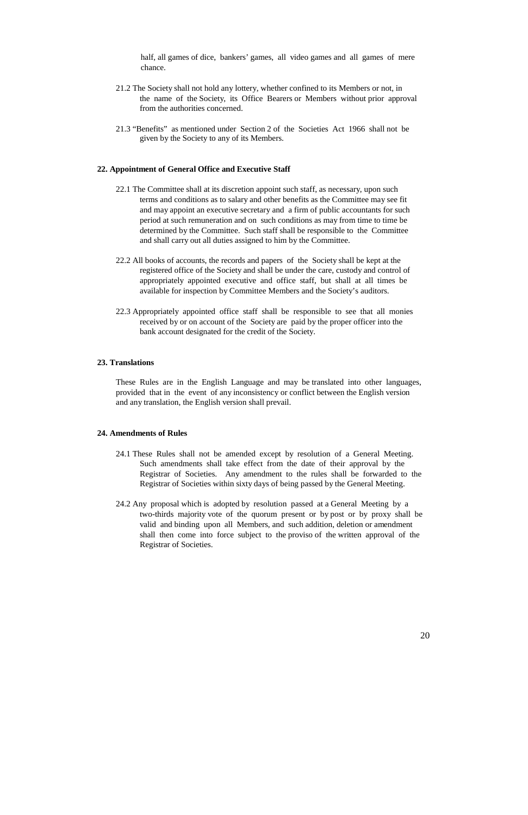half, all games of dice, bankers' games, all video games and all games of mere chance.

- 21.2 The Society shall not hold any lottery, whether confined to its Members or not, in the name of the Society, its Office Bearers or Members without prior approval from the authorities concerned.
- 21.3 "Benefits" as mentioned under Section 2 of the Societies Act 1966 shall not be given by the Society to any of its Members.

## **22. Appointment of General Office and Executive Staff**

- 22.1 The Committee shall at its discretion appoint such staff, as necessary, upon such terms and conditions as to salary and other benefits as the Committee may see fit and may appoint an executive secretary and a firm of public accountants for such period at such remuneration and on such conditions as may from time to time be determined by the Committee. Such staff shall be responsible to the Committee and shall carry out all duties assigned to him by the Committee.
- 22.2 All books of accounts, the records and papers of the Society shall be kept at the registered office of the Society and shall be under the care, custody and control of appropriately appointed executive and office staff, but shall at all times be available for inspection by Committee Members and the Society's auditors.
- 22.3 Appropriately appointed office staff shall be responsible to see that all monies received by or on account of the Society are paid by the proper officer into the bank account designated for the credit of the Society.

# **23. Translations**

These Rules are in the English Language and may be translated into other languages, provided that in the event of any inconsistency or conflict between the English version and any translation, the English version shall prevail.

## **24. Amendments of Rules**

- 24.1 These Rules shall not be amended except by resolution of a General Meeting. Such amendments shall take effect from the date of their approval by the Registrar of Societies. Any amendment to the rules shall be forwarded to the Registrar of Societies within sixty days of being passed by the General Meeting.
- 24.2 Any proposal which is adopted by resolution passed at a General Meeting by a two-thirds majority vote of the quorum present or by post or by proxy shall be valid and binding upon all Members, and such addition, deletion or amendment shall then come into force subject to the proviso of the written approval of the Registrar of Societies.